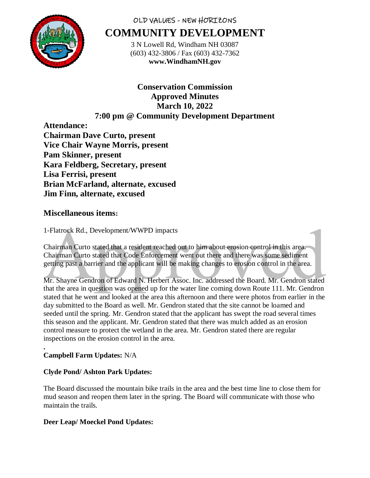

# OLD VALUES - NEW HORIZONS **COMMUNITY DEVELOPMENT**

3 N Lowell Rd, Windham NH 03087 (603) 432-3806 / Fax (603) 432-7362 **www.WindhamNH.gov**

# **Conservation Commission Approved Minutes March 10, 2022 7:00 pm @ Community Development Department**

**Attendance: Chairman Dave Curto, present Vice Chair Wayne Morris, present Pam Skinner, present Kara Feldberg, Secretary, present Lisa Ferrisi, present Brian McFarland, alternate, excused Jim Finn, alternate, excused**

# **Miscellaneous items:**

1-Flatrock Rd., Development/WWPD impacts

Chairman Curto stated that a resident reached out to him about erosion control in this area. Chairman Curto stated that Code Enforcement went out there and there was some sediment getting past a barrier and the applicant will be making changes to erosion control in the area.

Mr. Shayne Gendron of Edward N. Herbert Assoc. Inc. addressed the Board. Mr. Gendron stated that the area in question was opened up for the water line coming down Route 111. Mr. Gendron stated that he went and looked at the area this afternoon and there were photos from earlier in the day submitted to the Board as well. Mr. Gendron stated that the site cannot be loamed and seeded until the spring. Mr. Gendron stated that the applicant has swept the road several times this season and the applicant. Mr. Gendron stated that there was mulch added as an erosion control measure to protect the wetland in the area. Mr. Gendron stated there are regular inspections on the erosion control in the area.

#### **. Campbell Farm Updates:** N/A

# **Clyde Pond/ Ashton Park Updates:**

The Board discussed the mountain bike trails in the area and the best time line to close them for mud season and reopen them later in the spring. The Board will communicate with those who maintain the trails.

# **Deer Leap/ Moeckel Pond Updates:**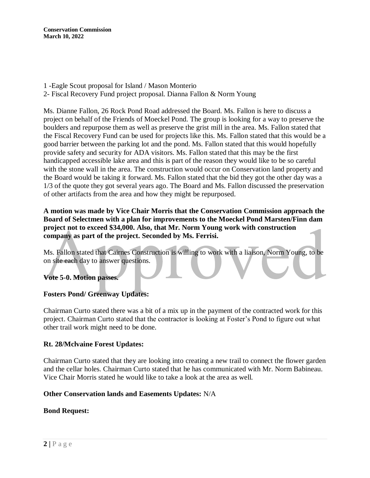**Conservation Commission March 10, 2022**

- 1 -Eagle Scout proposal for Island / Mason Monterio
- 2- Fiscal Recovery Fund project proposal. Dianna Fallon & Norm Young

Ms. Dianne Fallon, 26 Rock Pond Road addressed the Board. Ms. Fallon is here to discuss a project on behalf of the Friends of Moeckel Pond. The group is looking for a way to preserve the boulders and repurpose them as well as preserve the grist mill in the area. Ms. Fallon stated that the Fiscal Recovery Fund can be used for projects like this. Ms. Fallon stated that this would be a good barrier between the parking lot and the pond. Ms. Fallon stated that this would hopefully provide safety and security for ADA visitors. Ms. Fallon stated that this may be the first handicapped accessible lake area and this is part of the reason they would like to be so careful with the stone wall in the area. The construction would occur on Conservation land property and the Board would be taking it forward. Ms. Fallon stated that the bid they got the other day was a 1/3 of the quote they got several years ago. The Board and Ms. Fallon discussed the preservation of other artifacts from the area and how they might be repurposed.

#### **A motion was made by Vice Chair Morris that the Conservation Commission approach the Board of Selectmen with a plan for improvements to the Moeckel Pond Marsten/Finn dam project not to exceed \$34,000. Also, that Mr. Norm Young work with construction company as part of the project. Seconded by Ms. Ferrisi.**

Ms. Fallon stated that Cairnes Construction is willing to work with a liaison, Norm Young, to be on site each day to answer questions.

### **Vote 5-0. Motion passes.**

### **Fosters Pond/ Greenway Updates:**

Chairman Curto stated there was a bit of a mix up in the payment of the contracted work for this project. Chairman Curto stated that the contractor is looking at Foster's Pond to figure out what other trail work might need to be done.

### **Rt. 28/Mclvaine Forest Updates:**

Chairman Curto stated that they are looking into creating a new trail to connect the flower garden and the cellar holes. Chairman Curto stated that he has communicated with Mr. Norm Babineau. Vice Chair Morris stated he would like to take a look at the area as well.

#### **Other Conservation lands and Easements Updates:** N/A

#### **Bond Request:**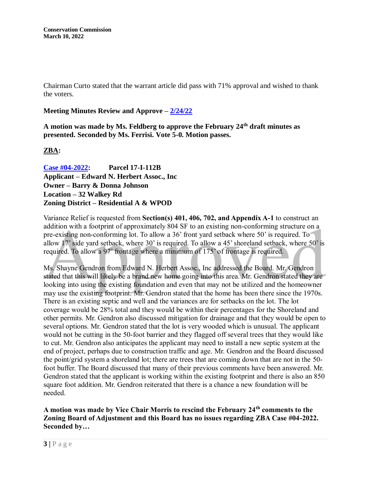Chairman Curto stated that the warrant article did pass with 71% approval and wished to thank the voters.

## **Meeting Minutes Review and Approve – [2/24/22](file:///C:/Conservation%20Minutes/2022/February/02_24_2022%20-%20CC%20Draft.docx)**

**A motion was made by Ms. Feldberg to approve the February 24th draft minutes as presented. Seconded by Ms. Ferrisi. Vote 5-0. Motion passes.** 

## **ZBA:**

**[Case #04-2022:](https://www.windhamnh.gov/DocumentCenter/Index/915) Parcel 17-I-112B Applicant – Edward N. Herbert Assoc., Inc Owner – Barry & Donna Johnson Location – 32 Walkey Rd Zoning District – Residential A & WPOD**

Variance Relief is requested from **Section(s) 401, 406, 702, and Appendix A-1** to construct an addition with a footprint of approximately 804 SF to an existing non-conforming structure on a pre-existing non-conforming lot. To allow a 36' front yard setback where 50' is required. To allow 17' side yard setback, where 30' is required. To allow a 45' shoreland setback, where 50' is required. To allow a 97' frontage where a minimum of 175' of frontage is required.

Ms. Shayne Gendron from Edward N. Herbert Assoc., Inc addressed the Board. Mr. Gendron stated that this will likely be a brand new home going into this area. Mr. Gendron stated they are looking into using the existing foundation and even that may not be utilized and the homeowner may use the existing footprint. Mr. Gendron stated that the home has been there since the 1970s. There is an existing septic and well and the variances are for setbacks on the lot. The lot coverage would be 28% total and they would be within their percentages for the Shoreland and other permits. Mr. Gendron also discussed mitigation for drainage and that they would be open to several options. Mr. Gendron stated that the lot is very wooded which is unusual. The applicant would not be cutting in the 50-foot barrier and they flagged off several trees that they would like to cut. Mr. Gendron also anticipates the applicant may need to install a new septic system at the end of project, perhaps due to construction traffic and age. Mr. Gendron and the Board discussed the point/grid system a shoreland lot; there are trees that are coming down that are not in the 50 foot buffer. The Board discussed that many of their previous comments have been answered. Mr. Gendron stated that the applicant is working within the existing footprint and there is also an 850 square foot addition. Mr. Gendron reiterated that there is a chance a new foundation will be needed.

## **A motion was made by Vice Chair Morris to rescind the February 24th comments to the Zoning Board of Adjustment and this Board has no issues regarding ZBA Case #04-2022. Seconded by…**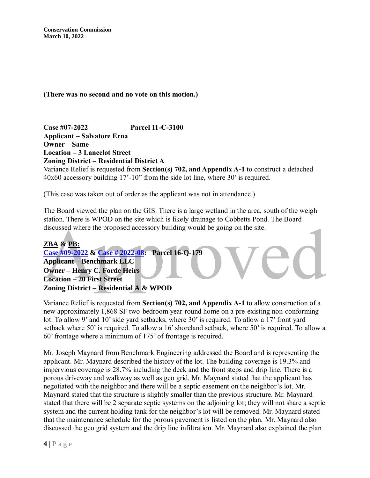**Conservation Commission March 10, 2022**

**(There was no second and no vote on this motion.)**

**Case #07-2022 Parcel 11-C-3100 Applicant – Salvatore Erna Owner – Same Location – 3 Lancelot Street Zoning District – Residential District A**

Variance Relief is requested from **Section(s) 702, and Appendix A-1** to construct a detached 40x60 accessory building 17'-10" from the side lot line, where 30' is required.

(This case was taken out of order as the applicant was not in attendance.)

The Board viewed the plan on the GIS. There is a large wetland in the area, south of the weigh station. There is WPOD on the site which is likely drainage to Cobbetts Pond. The Board discussed where the proposed accessory building would be going on the site.

## **ZBA & PB: [Case #09-2022](https://www.windhamnh.gov/DocumentCenter/Index/921) & [Case # 2022-08:](https://www.windhamnh.gov/DocumentCenter/Index/926) Parcel 16-Q-179 Applicant – Benchmark LLC Owner – Henry C. Forde Heirs Location – 20 First Street Zoning District – Residential A & WPOD**

Variance Relief is requested from **Section(s) 702, and Appendix A-1** to allow construction of a new approximately 1,868 SF two-bedroom year-round home on a pre-existing non-conforming lot. To allow 9' and 10' side yard setbacks, where 30' is required. To allow a 17' front yard setback where 50' is required. To allow a 16' shoreland setback, where 50' is required. To allow a 60' frontage where a minimum of 175' of frontage is required.

Mr. Joseph Maynard from Benchmark Engineering addressed the Board and is representing the applicant. Mr. Maynard described the history of the lot. The building coverage is 19.3% and impervious coverage is 28.7% including the deck and the front steps and drip line. There is a porous driveway and walkway as well as geo grid. Mr. Maynard stated that the applicant has negotiated with the neighbor and there will be a septic easement on the neighbor's lot. Mr. Maynard stated that the structure is slightly smaller than the previous structure. Mr. Maynard stated that there will be 2 separate septic systems on the adjoining lot; they will not share a septic system and the current holding tank for the neighbor's lot will be removed. Mr. Maynard stated that the maintenance schedule for the porous pavement is listed on the plan. Mr. Maynard also discussed the geo grid system and the drip line infiltration. Mr. Maynard also explained the plan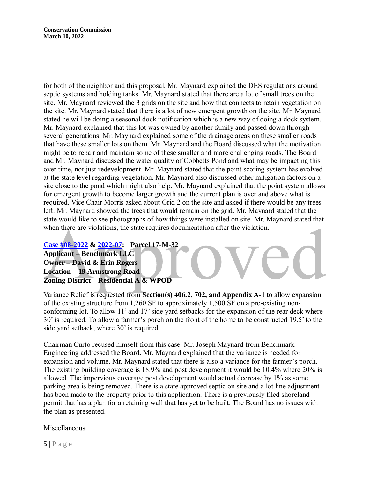for both of the neighbor and this proposal. Mr. Maynard explained the DES regulations around septic systems and holding tanks. Mr. Maynard stated that there are a lot of small trees on the site. Mr. Maynard reviewed the 3 grids on the site and how that connects to retain vegetation on the site. Mr. Maynard stated that there is a lot of new emergent growth on the site. Mr. Maynard stated he will be doing a seasonal dock notification which is a new way of doing a dock system. Mr. Maynard explained that this lot was owned by another family and passed down through several generations. Mr. Maynard explained some of the drainage areas on these smaller roads that have these smaller lots on them. Mr. Maynard and the Board discussed what the motivation might be to repair and maintain some of these smaller and more challenging roads. The Board and Mr. Maynard discussed the water quality of Cobbetts Pond and what may be impacting this over time, not just redevelopment. Mr. Maynard stated that the point scoring system has evolved at the state level regarding vegetation. Mr. Maynard also discussed other mitigation factors on a site close to the pond which might also help. Mr. Maynard explained that the point system allows for emergent growth to become larger growth and the current plan is over and above what is required. Vice Chair Morris asked about Grid 2 on the site and asked if there would be any trees left. Mr. Maynard showed the trees that would remain on the grid. Mr. Maynard stated that the state would like to see photographs of how things were installed on site. Mr. Maynard stated that when there are violations, the state requires documentation after the violation.

**[Case #08-2022](https://www.windhamnh.gov/DocumentCenter/Index/924) & [2022-07:](https://www.windhamnh.gov/DocumentCenter/Index/923) Parcel 17-M-32 Applicant – Benchmark LLC Owner – David & Erin Rogers Location – 19 Armstrong Road Zoning District – Residential A & WPOD**

Variance Relief is requested from **Section(s) 406.2, 702, and Appendix A-1** to allow expansion of the existing structure from 1,260 SF to approximately 1,500 SF on a pre-existing nonconforming lot. To allow 11' and 17' side yard setbacks for the expansion of the rear deck where 30' is required. To allow a farmer's porch on the front of the home to be constructed 19.5' to the side yard setback, where 30' is required.

Chairman Curto recused himself from this case. Mr. Joseph Maynard from Benchmark Engineering addressed the Board. Mr. Maynard explained that the variance is needed for expansion and volume. Mr. Maynard stated that there is also a variance for the farmer's porch. The existing building coverage is 18.9% and post development it would be 10.4% where 20% is allowed. The impervious coverage post development would actual decrease by 1% as some parking area is being removed. There is a state approved septic on site and a lot line adjustment has been made to the property prior to this application. There is a previously filed shoreland permit that has a plan for a retaining wall that has yet to be built. The Board has no issues with the plan as presented.

Miscellaneous